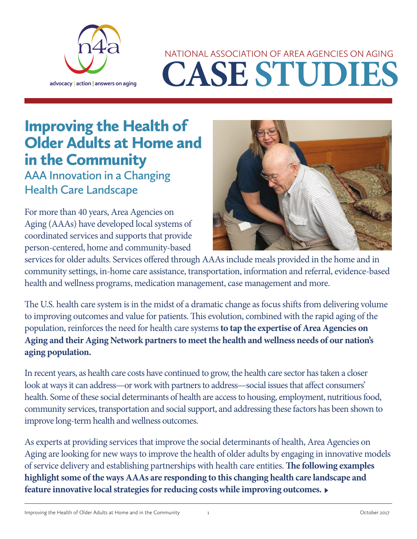

# **CASE STUDIES** NATIONAL ASSOCIATION OF AREA AGENCIES ON AGING

# Improving the Health of Older Adults at Home and in the Community

**AAA Innovation in a Changing Health Care Landscape**

For more than 40 years, Area Agencies on Aging (AAAs) have developed local systems of coordinated services and supports that provide person-centered, home and community-based



services for older adults. Services offered through AAAs include meals provided in the home and in community settings, in-home care assistance, transportation, information and referral, evidence-based health and wellness programs, medication management, case management and more.

The U.S. health care system is in the midst of a dramatic change as focus shifts from delivering volume to improving outcomes and value for patients. This evolution, combined with the rapid aging of the population, reinforces the need for health care systems **to tap the expertise of Area Agencies on Aging and their Aging Network partners to meet the health and wellness needs of our nation's aging population.**

In recent years, as health care costs have continued to grow, the health care sector has taken a closer look at ways it can address—or work with partners to address—social issues that affect consumers' health. Some of these social determinants of health are access to housing, employment, nutritious food, community services, transportation and social support, and addressing these factors has been shown to improve long-term health and wellness outcomes.

As experts at providing services that improve the social determinants of health, Area Agencies on Aging are looking for new ways to improve the health of older adults by engaging in innovative models of service delivery and establishing partnerships with health care entities. **The following examples highlight some of the ways AAAs are responding to this changing health care landscape and feature innovative local strategies for reducing costs while improving outcomes.** ►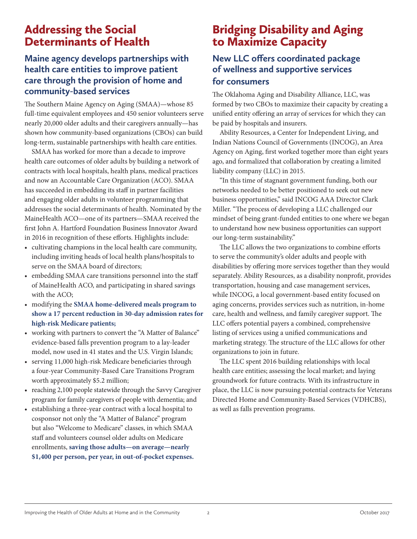# Addressing the Social Determinants of Health

#### **Maine agency develops partnerships with health care entities to improve patient care through the provision of home and community-based services**

The Southern Maine Agency on Aging (SMAA)—whose 85 full-time equivalent employees and 450 senior volunteers serve nearly 20,000 older adults and their caregivers annually—has shown how community-based organizations (CBOs) can build long-term, sustainable partnerships with health care entities.

SMAA has worked for more than a decade to improve health care outcomes of older adults by building a network of contracts with local hospitals, health plans, medical practices and now an Accountable Care Organization (ACO). SMAA has succeeded in embedding its staff in partner facilities and engaging older adults in volunteer programming that addresses the social determinants of health. Nominated by the MaineHealth ACO—one of its partners—SMAA received the first John A. Hartford Foundation Business Innovator Award in 2016 in recognition of these efforts. Highlights include:

- • cultivating champions in the local health care community, including inviting heads of local health plans/hospitals to serve on the SMAA board of directors;
- embedding SMAA care transitions personnel into the staff of MaineHealth ACO, and participating in shared savings with the ACO;
- • modifying the **SMAA home-delivered meals program to show a 17 percent reduction in 30-day admission rates for high-risk Medicare patients;**
- working with partners to convert the "A Matter of Balance" evidence-based falls prevention program to a lay-leader model, now used in 41 states and the U.S. Virgin Islands;
- serving 11,000 high-risk Medicare beneficiaries through a four-year Community-Based Care Transitions Program worth approximately \$5.2 million;
- reaching 2,100 people statewide through the Savvy Caregiver program for family caregivers of people with dementia; and
- establishing a three-year contract with a local hospital to cosponsor not only the "A Matter of Balance" program but also "Welcome to Medicare" classes, in which SMAA staff and volunteers counsel older adults on Medicare enrollments, **saving those adults—on average—nearly \$1,400 per person, per year, in out-of-pocket expenses.**

# Bridging Disability and Aging to Maximize Capacity

#### **New LLC offers coordinated package of wellness and supportive services for consumers**

The Oklahoma Aging and Disability Alliance, LLC, was formed by two CBOs to maximize their capacity by creating a unified entity offering an array of services for which they can be paid by hospitals and insurers.

Ability Resources, a Center for Independent Living, and Indian Nations Council of Governments (INCOG), an Area Agency on Aging, first worked together more than eight years ago, and formalized that collaboration by creating a limited liability company (LLC) in 2015.

"In this time of stagnant government funding, both our networks needed to be better positioned to seek out new business opportunities," said INCOG AAA Director Clark Miller. "The process of developing a LLC challenged our mindset of being grant-funded entities to one where we began to understand how new business opportunities can support our long-term sustainability."

The LLC allows the two organizations to combine efforts to serve the community's older adults and people with disabilities by offering more services together than they would separately. Ability Resources, as a disability nonprofit, provides transportation, housing and case management services, while INCOG, a local government-based entity focused on aging concerns, provides services such as nutrition, in-home care, health and wellness, and family caregiver support. The LLC offers potential payers a combined, comprehensive listing of services using a unified communications and marketing strategy. The structure of the LLC allows for other organizations to join in future.

The LLC spent 2016 building relationships with local health care entities; assessing the local market; and laying groundwork for future contracts. With its infrastructure in place, the LLC is now pursuing potential contracts for Veterans Directed Home and Community-Based Services (VDHCBS), as well as falls prevention programs.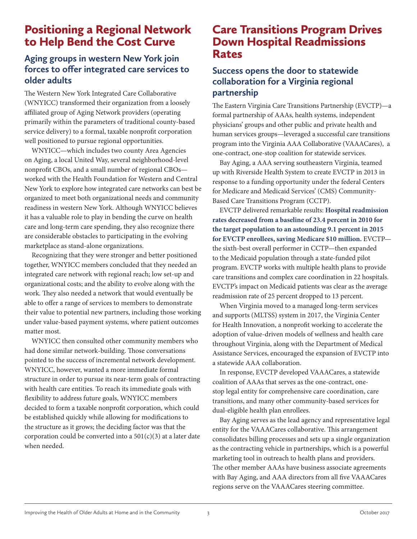# Positioning a Regional Network to Help Bend the Cost Curve

#### **Aging groups in western New York join forces to offer integrated care services to older adults**

The Western New York Integrated Care Collaborative (WNYICC) transformed their organization from a loosely affiliated group of Aging Network providers (operating primarily within the parameters of traditional county-based service delivery) to a formal, taxable nonprofit corporation well positioned to pursue regional opportunities.

WNYICC—which includes two county Area Agencies on Aging, a local United Way, several neighborhood-level nonprofit CBOs, and a small number of regional CBOs worked with the Health Foundation for Western and Central New York to explore how integrated care networks can best be organized to meet both organizational needs and community readiness in western New York. Although WNYICC believes it has a valuable role to play in bending the curve on health care and long-term care spending, they also recognize there are considerable obstacles to participating in the evolving marketplace as stand-alone organizations.

Recognizing that they were stronger and better positioned together, WNYICC members concluded that they needed an integrated care network with regional reach; low set-up and organizational costs; and the ability to evolve along with the work. They also needed a network that would eventually be able to offer a range of services to members to demonstrate their value to potential new partners, including those working under value-based payment systems, where patient outcomes matter most.

WNYICC then consulted other community members who had done similar network-building. Those conversations pointed to the success of incremental network development. WNYICC, however, wanted a more immediate formal structure in order to pursue its near-term goals of contracting with health care entities. To reach its immediate goals with flexibility to address future goals, WNYICC members decided to form a taxable nonprofit corporation, which could be established quickly while allowing for modifications to the structure as it grows; the deciding factor was that the corporation could be converted into a  $501(c)(3)$  at a later date when needed.

## Care Transitions Program Drives Down Hospital Readmissions Rates

#### **Success opens the door to statewide collaboration for a Virginia regional partnership**

The Eastern Virginia Care Transitions Partnership (EVCTP)—a formal partnership of AAAs, health systems, independent physicians' groups and other public and private health and human services groups—leveraged a successful care transitions program into the Virginia AAA Collaborative (VAAACares), a one-contract, one-stop coalition for statewide services.

Bay Aging, a AAA serving southeastern Virginia, teamed up with Riverside Health System to create EVCTP in 2013 in response to a funding opportunity under the federal Centers for Medicare and Medicaid Services' (CMS) Community-Based Care Transitions Program (CCTP).

EVCTP delivered remarkable results: **Hospital readmission rates decreased from a baseline of 23.4 percent in 2010 for the target population to an astounding 9.1 percent in 2015 for EVCTP enrollees, saving Medicare \$10 million.** EVCTP the sixth-best overall performer in CCTP—then expanded to the Medicaid population through a state-funded pilot program. EVCTP works with multiple health plans to provide care transitions and complex care coordination in 22 hospitals. EVCTP's impact on Medicaid patients was clear as the average readmission rate of 25 percent dropped to 13 percent.

When Virginia moved to a managed long-term services and supports (MLTSS) system in 2017, the Virginia Center for Health Innovation, a nonprofit working to accelerate the adoption of value-driven models of wellness and health care throughout Virginia, along with the Department of Medical Assistance Services, encouraged the expansion of EVCTP into a statewide AAA collaboration.

In response, EVCTP developed VAAACares, a statewide coalition of AAAs that serves as the one-contract, onestop legal entity for comprehensive care coordination, care transitions, and many other community-based services for dual-eligible health plan enrollees.

Bay Aging serves as the lead agency and representative legal entity for the VAAACares collaborative. This arrangement consolidates billing processes and sets up a single organization as the contracting vehicle in partnerships, which is a powerful marketing tool in outreach to health plans and providers. The other member AAAs have business associate agreements with Bay Aging, and AAA directors from all five VAAACares regions serve on the VAAACares steering committee.